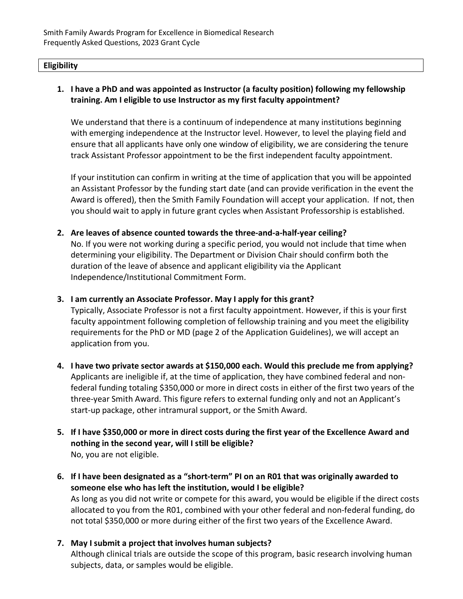#### **Eligibility**

# **1. I have a PhD and was appointed as Instructor (a faculty position) following my fellowship training. Am I eligible to use Instructor as my first faculty appointment?**

We understand that there is a continuum of independence at many institutions beginning with emerging independence at the Instructor level. However, to level the playing field and ensure that all applicants have only one window of eligibility, we are considering the tenure track Assistant Professor appointment to be the first independent faculty appointment.

If your institution can confirm in writing at the time of application that you will be appointed an Assistant Professor by the funding start date (and can provide verification in the event the Award is offered), then the Smith Family Foundation will accept your application. If not, then you should wait to apply in future grant cycles when Assistant Professorship is established.

## **2. Are leaves of absence counted towards the three-and-a-half-year ceiling?**

No. If you were not working during a specific period, you would not include that time when determining your eligibility. The Department or Division Chair should confirm both the duration of the leave of absence and applicant eligibility via the Applicant Independence/Institutional Commitment Form.

## **3. I am currently an Associate Professor. May I apply for this grant?**

Typically, Associate Professor is not a first faculty appointment. However, if this is your first faculty appointment following completion of fellowship training and you meet the eligibility requirements for the PhD or MD (page 2 of the Application Guidelines), we will accept an application from you.

- **4. I have two private sector awards at \$150,000 each. Would this preclude me from applying?** Applicants are ineligible if, at the time of application, they have combined federal and nonfederal funding totaling \$350,000 or more in direct costs in either of the first two years of the three-year Smith Award. This figure refers to external funding only and not an Applicant's start-up package, other intramural support, or the Smith Award.
- **5. If I have \$350,000 or more in direct costs during the first year of the Excellence Award and nothing in the second year, will I still be eligible?** No, you are not eligible.
- **6. If I have been designated as a "short-term" PI on an R01 that was originally awarded to someone else who has left the institution, would I be eligible?** As long as you did not write or compete for this award, you would be eligible if the direct costs allocated to you from the R01, combined with your other federal and non-federal funding, do not total \$350,000 or more during either of the first two years of the Excellence Award.

# **7. May I submit a project that involves human subjects?**

Although clinical trials are outside the scope of this program, basic research involving human subjects, data, or samples would be eligible.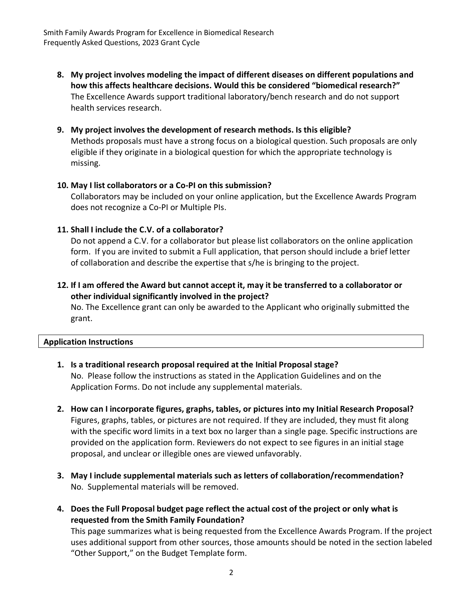- **8. My project involves modeling the impact of different diseases on different populations and how this affects healthcare decisions. Would this be considered "biomedical research?"** The Excellence Awards support traditional laboratory/bench research and do not support health services research.
- **9. My project involves the development of research methods. Is this eligible?**

Methods proposals must have a strong focus on a biological question. Such proposals are only eligible if they originate in a biological question for which the appropriate technology is missing.

## **10. May I list collaborators or a Co-PI on this submission?**

Collaborators may be included on your online application, but the Excellence Awards Program does not recognize a Co-PI or Multiple PIs.

## **11. Shall I include the C.V. of a collaborator?**

Do not append a C.V. for a collaborator but please list collaborators on the online application form. If you are invited to submit a Full application, that person should include a brief letter of collaboration and describe the expertise that s/he is bringing to the project.

**12. If I am offered the Award but cannot accept it, may it be transferred to a collaborator or other individual significantly involved in the project?**

No. The Excellence grant can only be awarded to the Applicant who originally submitted the grant.

## **Application Instructions**

# **1. Is a traditional research proposal required at the Initial Proposal stage?**

No. Please follow the instructions as stated in the Application Guidelines and on the Application Forms. Do not include any supplemental materials.

- **2. How can I incorporate figures, graphs, tables, or pictures into my Initial Research Proposal?** Figures, graphs, tables, or pictures are not required. If they are included, they must fit along with the specific word limits in a text box no larger than a single page. Specific instructions are provided on the application form. Reviewers do not expect to see figures in an initial stage proposal, and unclear or illegible ones are viewed unfavorably.
- **3. May I include supplemental materials such as letters of collaboration/recommendation?** No. Supplemental materials will be removed.
- **4. Does the Full Proposal budget page reflect the actual cost of the project or only what is requested from the Smith Family Foundation?**

This page summarizes what is being requested from the Excellence Awards Program. If the project uses additional support from other sources, those amounts should be noted in the section labeled "Other Support," on the Budget Template form.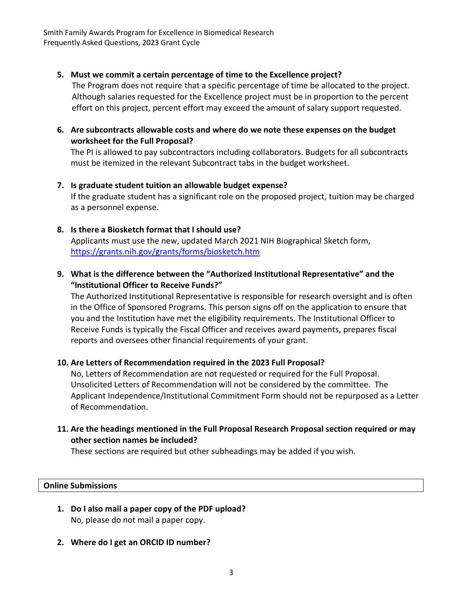**5. Must we commit a certain percentage of time to the Excellence project?**

The Program does not require that a specific percentage of time be allocated to the project. Although salaries requested for the Excellence project must be in proportion to the percent effort on this project, percent effort may exceed the amount of salary support requested.

**6. Are subcontracts allowable costs and where do we note these expenses on the budget worksheet for the Full Proposal?**

The PI is allowed to pay subcontractors including collaborators. Budgets for all subcontracts must be itemized in the relevant Subcontract tabs in the budget worksheet.

- **7. Is graduate student tuition an allowable budget expense?** If the graduate student has a significant role on the proposed project, tuition may be charged as a personnel expense.
- **8. Is there a Biosketch format that I should use?** Applicants must use the new, updated March 2021 NIH Biographical Sketch form, <https://grants.nih.gov/grants/forms/biosketch.htm>
- **9. What is the difference between the "Authorized Institutional Representative" and the "Institutional Officer to Receive Funds?"**

The Authorized Institutional Representative is responsible for research oversight and is often in the Office of Sponsored Programs. This person signs off on the application to ensure that you and the Institution have met the eligibility requirements. The Institutional Officer to Receive Funds is typically the Fiscal Officer and receives award payments, prepares fiscal reports and oversees other financial requirements of your grant.

# **10. Are Letters of Recommendation required in the 2023 Full Proposal?**

No, Letters of Recommendation are not requested or required for the Full Proposal. Unsolicited Letters of Recommendation will not be considered by the committee. The Applicant Independence/Institutional Commitment Form should not be repurposed as a Letter of Recommendation.

**11. Are the headings mentioned in the Full Proposal Research Proposal section required or may other section names be included?**

These sections are required but other subheadings may be added if you wish.

# **Online Submissions**

- **1. Do I also mail a paper copy of the PDF upload?** No, please do not mail a paper copy.
- **2. Where do I get an ORCID ID number?**